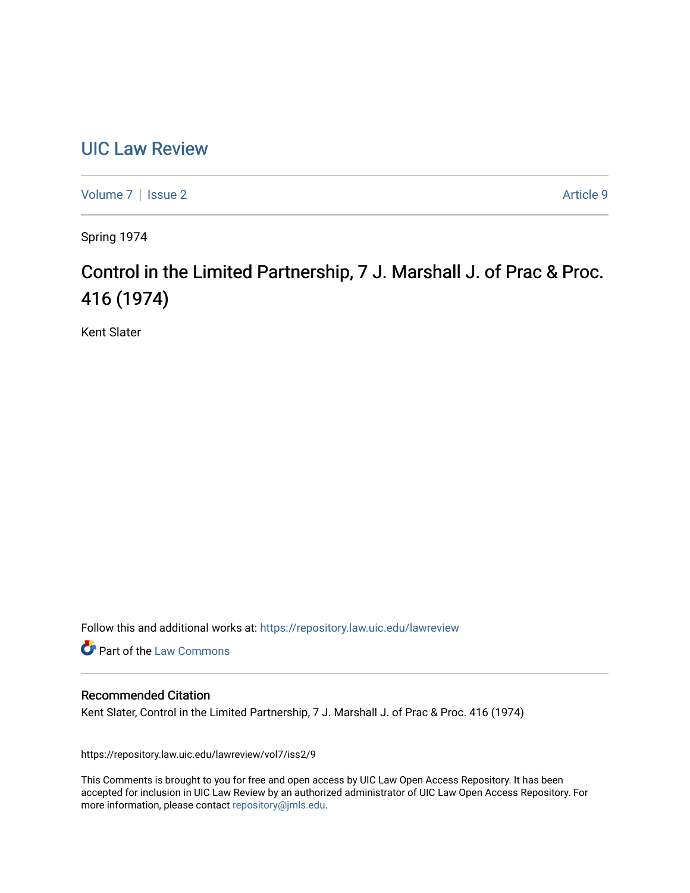# [UIC Law Review](https://repository.law.uic.edu/lawreview)

[Volume 7](https://repository.law.uic.edu/lawreview/vol7) | [Issue 2](https://repository.law.uic.edu/lawreview/vol7/iss2) Article 9

Spring 1974

# Control in the Limited Partnership, 7 J. Marshall J. of Prac & Proc. 416 (1974)

Kent Slater

Follow this and additional works at: [https://repository.law.uic.edu/lawreview](https://repository.law.uic.edu/lawreview?utm_source=repository.law.uic.edu%2Flawreview%2Fvol7%2Fiss2%2F9&utm_medium=PDF&utm_campaign=PDFCoverPages) 

Part of the [Law Commons](http://network.bepress.com/hgg/discipline/578?utm_source=repository.law.uic.edu%2Flawreview%2Fvol7%2Fiss2%2F9&utm_medium=PDF&utm_campaign=PDFCoverPages)

## Recommended Citation

Kent Slater, Control in the Limited Partnership, 7 J. Marshall J. of Prac & Proc. 416 (1974)

https://repository.law.uic.edu/lawreview/vol7/iss2/9

This Comments is brought to you for free and open access by UIC Law Open Access Repository. It has been accepted for inclusion in UIC Law Review by an authorized administrator of UIC Law Open Access Repository. For more information, please contact [repository@jmls.edu.](mailto:repository@jmls.edu)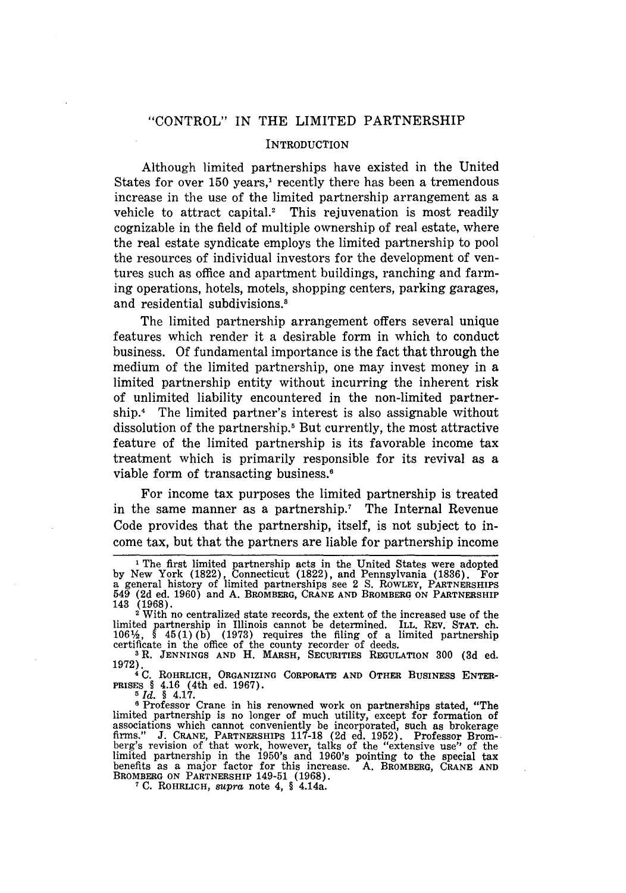#### "CONTROL" IN THE LIMITED PARTNERSHIP

#### **INTRODUCTION**

Although limited partnerships have existed in the United States for over 150 years,' recently there has been a tremendous increase in the use of the limited partnership arrangement as a vehicle to attract capital.<sup>2</sup> This rejuvenation is most readily cognizable in the field of multiple ownership of real estate, where the real estate syndicate employs the limited partnership to pool the resources of individual investors for the development of ventures such as office and apartment buildings, ranching and farming operations, hotels, motels, shopping centers, parking garages, and residential subdivisions.<sup>8</sup>

The limited partnership arrangement offers several unique features which render it a desirable form in which to conduct business. Of fundamental importance is the fact that through the medium of the limited partnership, one may invest money in a limited partnership entity without incurring the inherent risk of unlimited liability encountered in the non-limited partnership.<sup>4</sup> The limited partner's interest is also assignable without dissolution of the partnership.<sup>5</sup> But currently, the most attractive feature of the limited partnership is its favorable income tax treatment which is primarily responsible for its revival as a viable form of transacting business.<sup>6</sup>

For income tax purposes the limited partnership is treated in the same manner as a partnership.<sup>7</sup> The Internal Revenue Code provides that the partnership, itself, is not subject to income tax, but that the partners are liable for partnership income

**1972).4** C. **ROHRLICH, ORGANIZING CORPORATE AND OTHER BUSINESS ENTER-PRISES** § 4.16 (4th **ed. 1967).**

*Id. §* 4.17.

<sup>6</sup> Professor Crane in his renowned work on partnerships stated, "The limited partnership is no longer of much utility, except for formation of associations which cannot conveniently be incorporated, such as brokerage firms." **J. CRANE,** PARTNERSHIPS **117-18 (2d** ed. **1952).** Professor Brom-berg's revision of that work, however, talks of the "extensive use" of the limited partnership in the 1950's and 1 960's pointing to the special tax benefits as a major factor for this increase. **A. BROMBERG, CRANE AND** BROMBERG **ON PARTNERSHIP** 149-51 **(1968). 7C. ROHRLICH,** *supra* **note** 4, § **4.14a.**

<sup>&#</sup>x27; The first limited partnership acts in the United States were adopted by New York (1822), Connecticut (1822), and Pennsylvania (1836). For<br>a general history of limited partnerships see 2 S. RowLEY, PARTNERSHIPS<br>549 (2d ed. 1960) and A. BROMBERG, CRANE AND BROMBERG ON PARTNERSHIPS **143 (1968).** <sup>2</sup>With no centralized state records, the extent of the increased use of the

limited partnership in Illinois cannot be determined. ILL. REV. STAT. ch. 106<sup>1</sup>/<sub>2</sub>, § 45(1) (b) (1973) requires the filing of a limited partnership certificate in the office of the county recorder of deeds.

**<sup>3</sup>** R. **JENNINGS AND** H. MARSH, **SECURITIES** REGULATION **300 (3d** ed.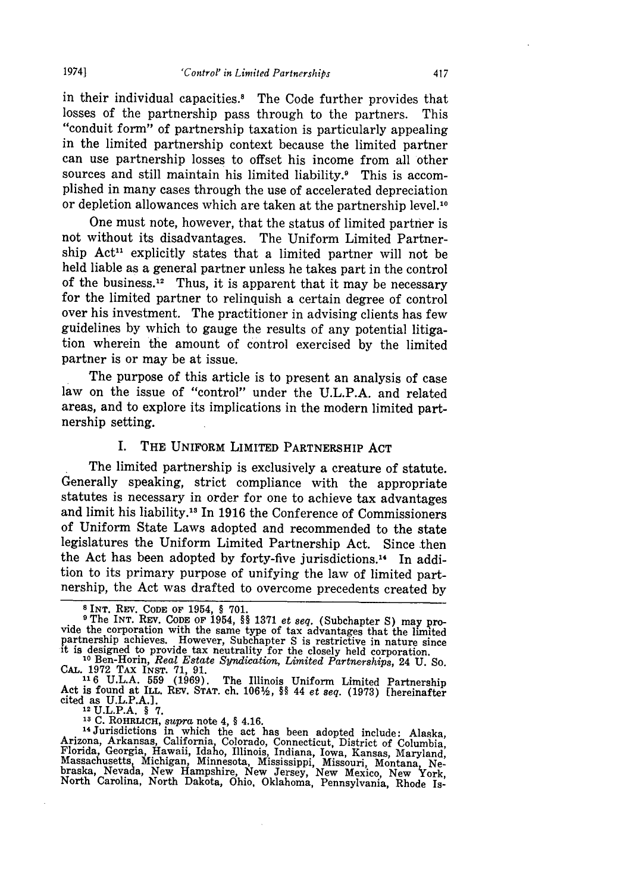in their individual capacities.<sup>8</sup> The Code further provides that losses of the partnership pass through to the partners. This losses of the partnership pass through to the partners. This "conduit form" of partnership taxation is particularly appealing in the limited partnership context because the limited partner can use partnership losses to offset his income from all other sources and still maintain his limited liability.<sup>9</sup> This is accomplished in many cases through the use of accelerated depreciation or depletion allowances which are taken at the partnership level.<sup>10</sup>

One must note, however, that the status of limited partner is not without its disadvantages. The Uniform Limited Partnership Act<sup>11</sup> explicitly states that a limited partner will not be held liable as a general partner unless he takes part in the control of the business.<sup>12</sup> Thus, it is apparent that it may be necessary for the limited partner to relinquish a certain degree of control over his investment. The practitioner in advising clients has few guidelines by which to gauge the results of any potential litigation wherein the amount of control exercised by the limited partner is or may be at issue.

The purpose of this article is to present an analysis of case law on the issue of "control" under the U.L.P.A. and related areas, and to explore its implications in the modern limited partnership setting.

#### I. THE UNIFORM LIMITED PARTNERSHIP **ACT**

The limited partnership is exclusively a creature of statute. Generally speaking, strict compliance with the appropriate statutes is necessary in order for one to achieve tax advantages and limit his liability." In 1916 the Conference of Commissioners of Uniform State Laws adopted and recommended to the state legislatures the Uniform Limited Partnership Act. Since then the Act has been adopted by forty-five jurisdictions.<sup>14</sup> In addition to its primary purpose of unifying the law of limited part- nership, the Act was drafted to overcome precedents created by

<sup>13</sup> C. ROHRLICH, *supra* note 4, § 4.16.<br><sup>14</sup> Jurisdictions in which the act has been adopted include: Alaska<br>Arizona, Arkansas, California, Colorado, Connecticut, District of Columbia<br>Florida, Georgia, Hawaii, Idaho, Ill braska, Nevada, New Hampshire, New Jersey, New Mexico, New York, North Carolina, North Dakota, Ohio, Oklahoma, Pennsylvania, Rhode Is-

**<sup>8</sup>**INT. **Rsv. CODE** OF 1954, § 701.

**<sup>9</sup>**The INT. REv. CODE **OF** 1954, §§ **1371** *et seq.* (Subchapter S) may pro- vide the corporation with the same type of tax advantages that the limited partnership achieves. However, Subchapter S is restrictive in nature since **it** is designed to provide tax neutrality for the closely held corporation.

**<sup>10</sup>**Ben-Horin, *Real Estate Syndication, Limited Partnerships,* 24 **U. So.**

**CAL.** 1972 **TAX** INST. **71,** 91. **"16** U.L.A. **559** (1969). The Illinois Uniform Limited Partnership Act is found at **ILL.** REV. **STAT.** ch. 106%/, §§ 44 *et seq.* (1973) [hereinafter cited as U.L.P.A.]. **12U.L.P.A.** § **7.**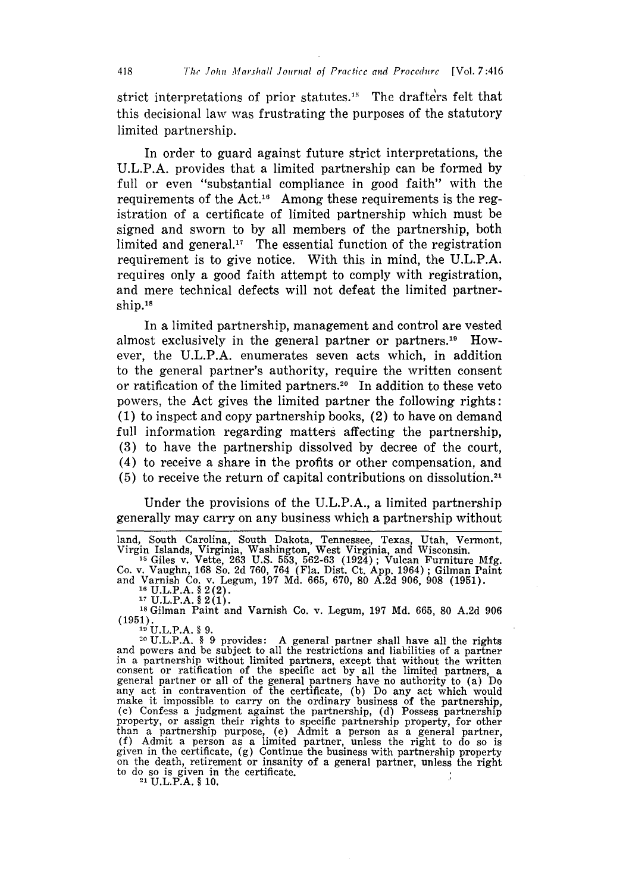strict interpretations of prior statutes.<sup>15</sup> The drafters felt that this decisional law was frustrating the purposes of the statutory limited partnership.

In order to guard against future strict interpretations, the U.L.P.A. provides that a limited partnership can be formed by full or even "substantial compliance in good faith" with the requirements of the Act.<sup>16</sup> Among these requirements is the registration of a certificate of limited partnership which must be signed and sworn to by all members of the partnership, both limited and general.<sup>17</sup> The essential function of the registration requirement is to give notice. With this in mind, the U.L.P.A. requires only a good faith attempt to comply with registration, and mere technical defects will not defeat the limited partnership.<sup>18</sup>

In a limited partnership, management and control are vested almost exclusively in the general partner or partners.<sup>19</sup> However, the U.L.P.A. enumerates seven acts which, in addition to the general partner's authority, require the written consent or ratification of the limited partners.20 In addition to these veto powers, the Act gives the limited partner the following rights: (1) to inspect and copy partnership books, (2) to have on demand full information regarding matters affecting the partnership, (3) to have the partnership dissolved by decree of the court, (4) to receive a share in the profits or other compensation, and **(5)** to receive the return of capital contributions on dissolution.2 <sup>1</sup>

Under the provisions of the U.L.P.A., a limited partnership generally may carry on any business which a partnership without

Co. v. Vaughn, 168 So. 2d 760, 764 (Fla. Dist. Ct. App. 1964); Gilman Paint and Varnish Co. v. Legum, 197 Md. 665, 670, 80 A.2d 906, 908 (1951). **<sup>16</sup>**U.L.P.A. § 2 (2). **<sup>17</sup>**U.L.P.A. § 2(1).

**is** Gilman Paint and Varnish Co. v. Legum, 197 Md. 665, 80 A.2d 906 (1951). **<sup>19</sup>**U.L.P.A. **§** 9.

**2(** U.L.P.A. § **9** provides: A general partner shall have all the rights and powers and be subject to all the restrictions and liabilities of a partner in a partnership without limited partners, except that without the written consent or ratification of the specific act by all the limited partners, a general partner or all of the general partners have no authority to (a) Do any act in contravention of the certificate, (b) Do any act which would make it impossible to carry on the ordinary business of the partnership, (c) Confess a judgment against the partnership, (d) Possess partnership property, or assign their rights to specific partnership property, for other than a partnership purpose, (e) Admit a person as a general partner, (f) Admit a person as a limited partner, unless the right to do so is given in the certificate, (g) Continue the business with partnership property on the death, retirement or insanity of a general partner, unless the right to do so is given in the certificate.<br> $^{21}$  U.L.P.A.  $\frac{8}{3}$  10.

land, South Carolina, South Dakota, Tennessee, Texas, Utah, Vermont Virgin Islands, Virginia, Washington, West Virginia, and Wisconsin. **<sup>15</sup>**Giles v. Vette, 263 U.S. 553, 562-63 (1924); Vulcan Furniture Mfg.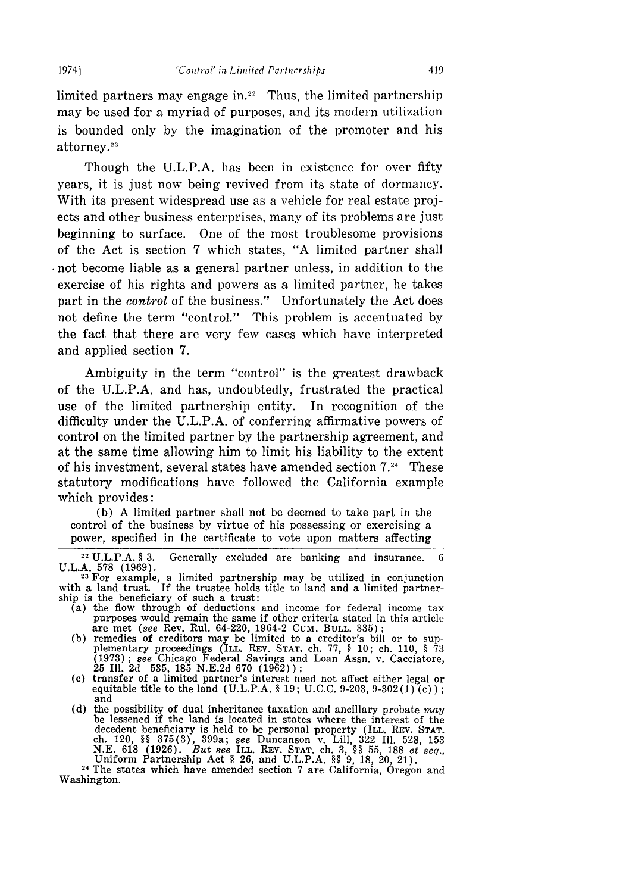limited partners may engage in.<sup>22</sup> Thus, the limited partnership may be used for a myriad of purposes, and its modern utilization is bounded only by the imagination of the promoter and his attorney.<sup>23</sup>

Though the U.L.P.A. has been in existence for over fifty years, it is just now being revived from its state of dormancy. With its present widespread use as a vehicle for real estate projects and other business enterprises, many of its problems are just beginning to surface. One of the most troublesome provisions of the Act is section 7 which states, "A limited partner shall not become liable as a general partner unless, in addition to the exercise of his rights and powers as a limited partner, he takes part in the *control* of the business." Unfortunately the Act does not define the term "control." This problem is accentuated by the fact that there are very few cases which have interpreted and applied section 7.

Ambiguity in the term "control" is the greatest drawback of the U.L.P.A. and has, undoubtedly, frustrated the practical use of the limited partnership entity. In recognition of the difficulty under the U.L.P.A. of conferring affirmative powers of control on the limited partner by the partnership agreement, and at the same time allowing him to limit his liability to the extent of his investment, several states have amended section  $7.^{24}$  These statutory modifications have followed the California example which provides:

(b) A limited partner shall not be deemed to take part in the control of the business by virtue of his possessing or exercising a power, specified in the certificate to vote upon matters affecting

- ship is the beneficiary of such a trust:<br>(a) the flow through of deductions and income for federal income tax<br>purposes would remain the same if other criteria stated in this article purposes would remain the same if other criteria stated in this article are met *(see* Rev. Rul. 64-220, 1964-2 CUM. **BULL.** 335) **;**
	- **(b)** remedies of creditors may be limited to a creditor's bill or to sup- plementary proceedings (ILL. Rav. **STAT.** ch. 77, § 10; ch. 110, § 73 (1973); *see* Chicago Federal Savings and Loan Assn. v. Cacciatore, 25 Ill. 2d 535, 185 N.E.2d 670 (1962));
	- (c) transfer of a limited partner's interest need not affect either legal or equitable title to the land (U.L.P.A. § 19; U.C.C. 9-203, 9-302(1) (c)); and
	- (d) the possibility of dual inheritance taxation and ancillary probate *may* be lessened if the land is located in states where the interest of the decedent beneficiary is held to be personal property (ILL, REV. STAT.<br>ch. 120, §§ 375(3), 399a; see Duncanson v. Lill, 322 Ill. 528, 153<br>N.E. 618 (1926). But see ILL, REV. STAT, ch. 3, §§ 55, 188 et seq. Uniform Partnership Act § 26, and U.L.P.A. §§ 9, 18, 20, 21).<br><sup>24</sup> The states which have amended section 7 are California, Oregon and

<sup>24</sup> The states which have amended section 7 are California, Oregon and Washington.

 $22 \text{ U.L.P.A. }$ § 3. Generally excluded are banking and insurance. U.L.A. 578 (1969). **<sup>23</sup>**For example, a limited partnership may be utilized in conjunction

with a land trust. If the trustee holds title to land and a limited partnership is the beneficiary of such a trust: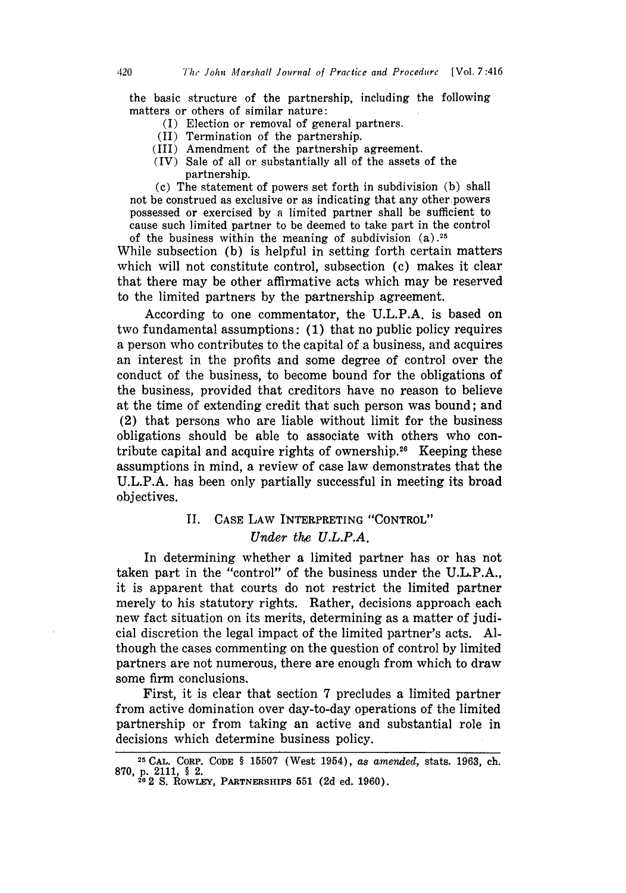the basic structure of the partnership, including the following matters or others of similar nature:

- (I) Election or removal of general partners.
- (II) Termination of the partnership.
- (III) Amendment of the partnership agreement.
- (IV) Sale of all or substantially all of the assets of the partnership.

(c) The statement of powers set forth in subdivision (b) shall not be construed as exclusive or as indicating that any other powers possessed or exercised by a limited partner shall be sufficient to cause such limited partner to be deemed to take part in the control of the business within the meaning of subdivision (a) **.25**

While subsection (b) is helpful in setting forth certain matters which will not constitute control, subsection (c) makes it clear that there may be other affirmative acts which may be reserved to the limited partners by the partnership agreement.

According to one commentator, the U.L.P.A. is based on two fundamental assumptions: (1) that no public policy requires a person who contributes to the capital of a business, and acquires an interest in the profits and some degree of control over the conduct of the business, to become bound for the obligations of the business, provided that creditors have no reason to believe at the time of extending credit that such person was bound; and (2) that persons who are liable without limit for the business obligations should be able to associate with others who contribute capital and acquire rights of ownership.<sup>26</sup> Keeping these assumptions in mind, a review of case law demonstrates that the U.L.P.A. has been only partially successful in meeting its broad objectives.

### II. CASE LAW INTERPRETING "CONTROL" *Under the U.L.P.A.*

In determining whether a limited partner has or has not taken part in the "control" of the business under the U.L.P.A., it is apparent that courts do not restrict the limited partner merely to his statutory rights. Rather, decisions approach each new fact situation on its merits, determining as a matter of judicial discretion the legal impact of the limited partner's acts. Although the cases commenting on the question of control by limited partners are not numerous, there are enough from which to draw some firm conclusions.

First, it is clear that section 7 precludes a limited partner from active domination over day-to-day operations of the limited partnership or from taking an active and substantial role in decisions which determine business policy.

**<sup>25</sup>**CAL. CORP. **CODE** § 15507 (West 1954), *as amended,* stats. 1963, ch. 870, p. 2111, § 2.<br><sup>26</sup> 2 S. RowLEY, PARTNERSHIPS 551 (2d ed. 1960).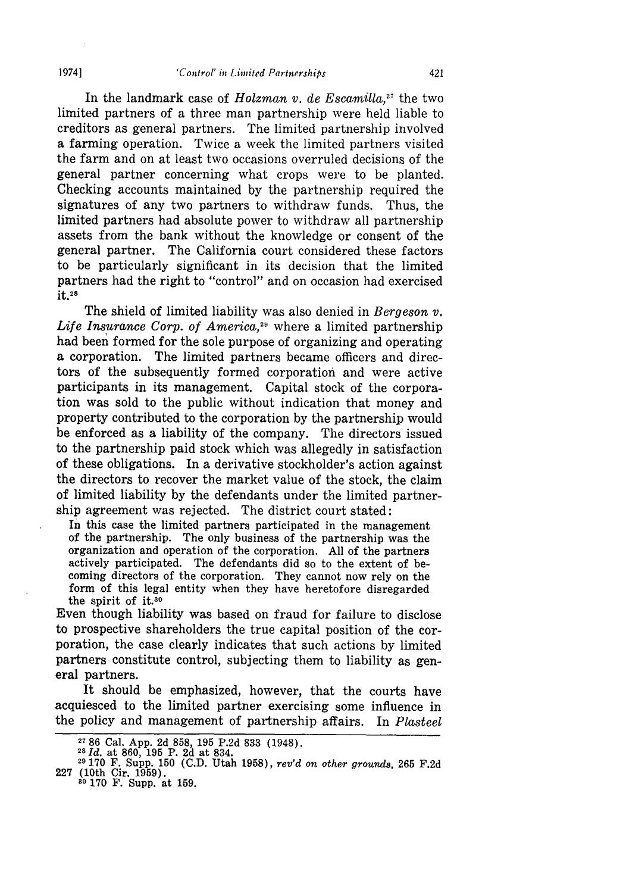In the landmark case of *Holzman v. de Escamila,27* the two limited partners of a three man partnership were held liable to creditors as general partners. The limited partnership involved a farming operation. Twice a week the limited partners visited the farm and on at least two occasions overruled decisions of the general partner concerning what crops were to be planted. Checking accounts maintained by the partnership required the signatures of any two partners to withdraw funds. Thus, the limited partners had absolute power to withdraw all partnership assets from the bank without the knowledge or consent of the general partner. The California court considered these factors to be particularly significant in its decision that the limited partners had the right to "control" and on occasion had exercised **it.28**

The shield of limited liability was also denied in *Bergeson v.* Life Insurance Corp. of America,<sup>29</sup> where a limited partnership had been formed for the sole purpose of organizing and operating a corporation. The limited partners became officers and directors of the subsequently formed corporation and were active participants in its management. Capital stock of the corporation was sold to the public without indication that money and property contributed to the corporation by the partnership would be enforced as a liability of the company. The directors issued to the partnership paid stock which was allegedly in satisfaction of these obligations. In a derivative stockholder's action against the directors to recover the market value of the stock, the claim of limited liability by the defendants under the limited partnership agreement was rejected. The district court stated:

in this case the limited partners participated in the management of the partnership. The only business of the partnership was the organization and operation of the corporation. All of the partners actively participated. The defendants did so to the extent of becoming directors of the corporation. They cannot now rely on the form of this legal entity when they have heretofore disregarded the spirit of it.<sup>30</sup>

Even though liability was based on fraud for failure to disclose to prospective shareholders the true capital position of the corporation, the case clearly indicates that such actions by limited partners constitute control, subjecting them to liability as general partners.

It should be emphasized, however, that the courts have acquiesced to the limited partner exercising some influence in the policy and management of partnership affairs. In *Plasteel*

**<sup>2786</sup>**Cal. App. 2d 858, 195 P.2d 833 (1948). *<sup>28</sup> d.* at 860, 195 P. 2d at 834.

**<sup>29</sup>**170 F. Supp. 150 **(C.D.** Utah 1958), *rev'd on other grounds,* 265 F.2d 227 (10th Cir. 1959). **<sup>30</sup>**170 F. Supp. at 159.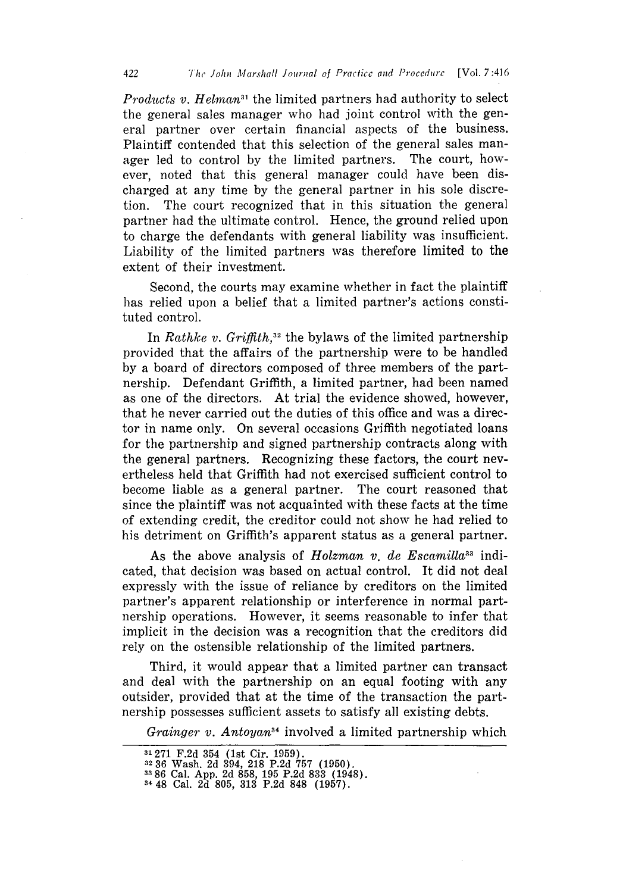*Products v. Helman*<sup>31</sup> the limited partners had authority to select the general sales manager who had joint control with the general partner over certain financial aspects of the business. Plaintiff contended that this selection of the general sales manager led to control by the limited partners. The court, however, noted that this general manager could have been discharged at any time by the general partner in his sole discretion. The court recognized that in this situation the general partner had the ultimate control. Hence, the ground relied upon to charge the defendants with general liability was insufficient. Liability of the limited partners was therefore limited to the extent of their investment.

Second, the courts may examine whether in fact the plaintiff has relied upon a belief that a limited partner's actions constituted control.

In *Rathke v. Griffith*,<sup>32</sup> the bylaws of the limited partnership provided that the affairs of the partnership were to be handled by a board of directors composed of three members of the partnership. Defendant Griffith, a limited partner, had been named as one of the directors. At trial the evidence showed, however, that he never carried out the duties of this office and was a director in name only. On several occasions Griffith negotiated loans for the partnership and signed partnership contracts along with the general partners. Recognizing these factors, the court nevertheless held that Griffith had not exercised sufficient control to become liable as a general partner. The court reasoned that since the plaintiff was not acquainted with these facts at the time of extending credit, the creditor could not show he had relied to his detriment on Griffith's apparent status as a general partner.

As the above analysis of *Holzman v. de Escamilla*<sup>33</sup> indicated, that decision was based on actual control. It did not deal expressly with the issue of reliance by creditors on the limited partner's apparent relationship or interference in normal partnership operations. However, it seems reasonable to infer that implicit in the decision was a recognition that the creditors did rely on the ostensible relationship of the limited partners.

Third, it would appear that a limited partner can transact and deal with the partnership on an equal footing with any outsider, provided that at the time of the transaction the partnership possesses sufficient assets to satisfy all existing debts.

*Grainger v. Antoyan34* involved a limited partnership which

**<sup>31271</sup>** F.2d 354 (1st Cir. 1959).

<sup>,2</sup> **36** Wash. 2d 394, 218 P.2d 757 (1950).

**<sup>33 86</sup>** Cal. **App. 2d 858, 195 P.2d 833** (1948). 3448 Cal. **2d 805, 313 P.2d 848 (1957).**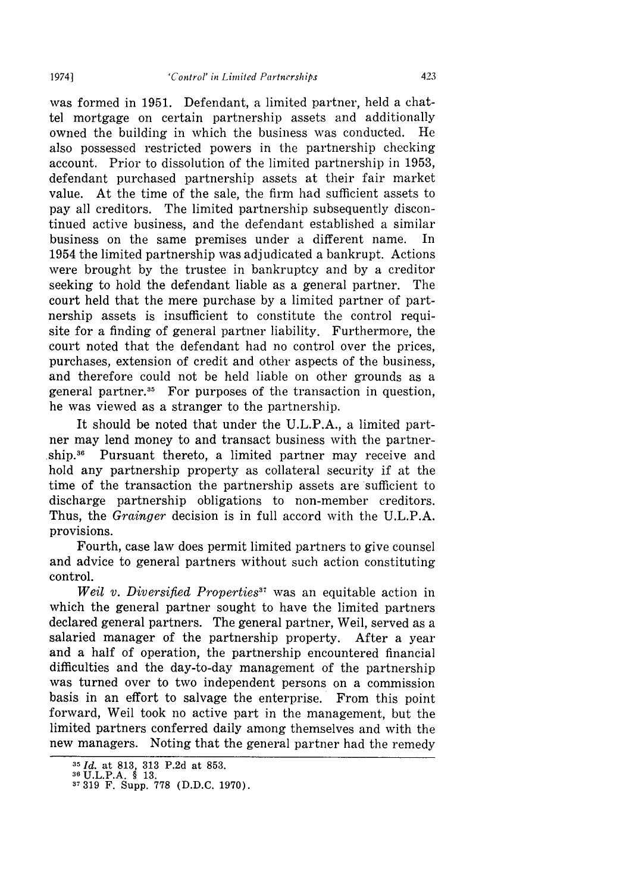was formed in 1951. Defendant, a limited partner, held a chattel mortgage on certain partnership assets and additionally owned the building in which the business was conducted. He also possessed restricted powers in the partnership checking account. Prior to dissolution of the limited partnership in 1953, defendant purchased partnership assets at their fair market value. At the time of the sale, the firm had sufficient assets to pay all creditors. The limited partnership subsequently discontinued active business, and the defendant established a similar business on the same premises under a different name. In 1954 the limited partnership was adjudicated a bankrupt. Actions were brought by the trustee in bankruptcy and by a creditor seeking to hold the defendant liable as a general partner. The court held that the mere purchase by a limited partner of partnership assets is insufficient to constitute the control requisite for a finding of general partner liability. Furthermore, the court noted that the defendant had no control over the prices, purchases, extension of credit and other aspects of the business, and therefore could not be held liable on other grounds as a general partner.<sup>35</sup> For purposes of the transaction in question, he was viewed as a stranger to the partnership.

It should be noted that under the U.L.P.A., a limited partner may lend money to and transact business with the partnership.36 Pursuant thereto, a limited partner may receive and hold any partnership property as collateral security if at the time of the transaction the partnership assets are sufficient to discharge partnership obligations to non-member creditors. Thus, the *Grainger* decision is in full accord with the U.L.P.A. provisions.

Fourth, case law does permit limited partners to give counsel and advice to general partners without such action constituting control.

*Weil v. Diversified Properties*<sup>37</sup> was an equitable action in which the general partner sought to have the limited partners declared general partners. The general partner, Weil, served as a salaried manager of the partnership property. After a year and a half of operation, the partnership encountered financial difficulties and the day-to-day management of the partnership was turned over to two independent persons on a commission basis in an effort to salvage the enterprise. From this point forward, Weil took no active part in the management, but the limited partners conferred daily among themselves and with the new managers. Noting that the general partner had the remedy

*<sup>35</sup> Id.* at **813, 313 P.2d** at **853. 36U.L.P.A. § 13.**

**<sup>3 319</sup>** F. Supp. **778 (D.D.C. 1970).**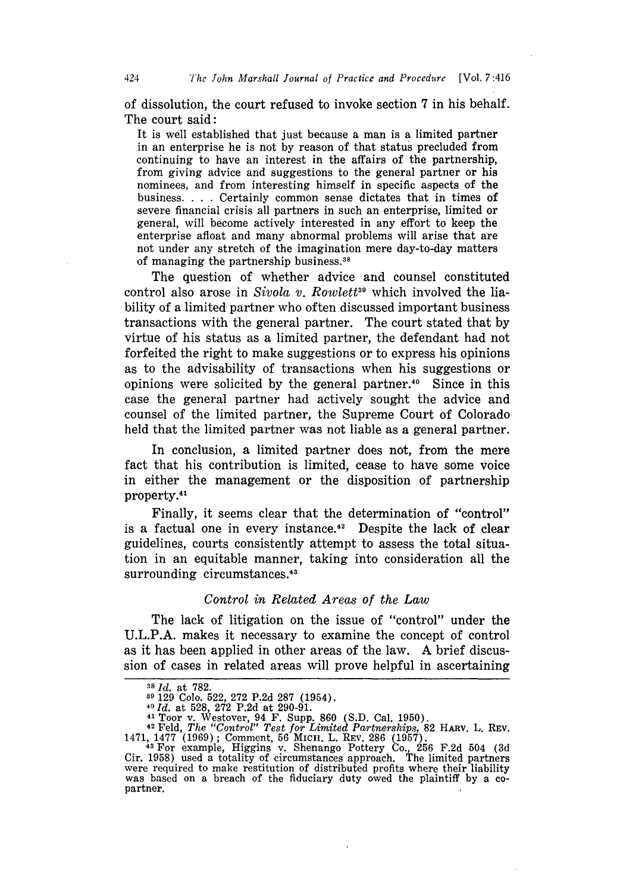of dissolution, the court refused to invoke section 7 in his behalf. The court said:

It is well established that just because a man is a limited partner in an enterprise he is not by reason of that status precluded from continuing to have an interest in the affairs of the partnership, from giving advice and suggestions to the general partner or his nominees, and from interesting himself in specific aspects of the business. . **.** . Certainly common sense dictates that in times of severe financial crisis all partners in such an enterprise, limited or general, will become actively interested in any effort to keep the enterprise afloat and many abnormal problems will arise that are not under any stretch of the imagination mere day-to-day matters of managing the partnership business.38

The question of whether advice and counsel constituted control also arose in *Sivola v. Rowlett*<sup>39</sup> which involved the liability of a limited partner who often discussed important business transactions with the general partner. The court stated that by virtue of his status as a limited partner, the defendant had not forfeited the right to make suggestions or to express his opinions as to the advisability of transactions when his suggestions or opinions were solicited by the general partner.40 Since in this case the general partner had actively sought the advice and counsel of the limited partner, the Supreme Court of Colorado held that the limited partner was not liable as a general partner.

In conclusion, a limited partner does not, from the mere fact that his contribution is limited, cease to have some voice in either the management or the disposition of partnership property.<sup>41</sup>

Finally, it seems clear that the determination of "control" is a factual one in every instance.<sup>42</sup> Despite the lack of clear guidelines, courts consistently attempt to assess the total situation in an equitable manner, taking into consideration all the surrounding circumstances.<sup>43</sup>

#### *Control in Related Areas of the Law*

The lack of litigation on the issue of "control" under the U.L.P.A. makes it necessary to examine the concept of control as it has been applied in other areas of the law. A brief discussion of cases in related areas will prove helpful in ascertaining

*<sup>38</sup>Id.* at 782.

**<sup>89</sup>**129 Colo. 522, 272 P.2d 287 (1954). **<sup>40</sup>***Id.* at 528, 272 P.2d at 290-91.

 $^{41}$  Toor v. Westover, 94 F. Supp. 860 (S.D. Cal. 1950).

<sup>&</sup>lt;sup>42</sup> Feld, The "Control" Test for Limited Partnerships, 82 HARV. L. REV.<br>1471, 1477 (1969); Comment, 56 MICH. L. REV. 286 (1957).<br><sup>43</sup> For example, Higgins v. Shenango Pottery Co., 256 F.2d 504 (3d<br>Cir. 1958) used a totali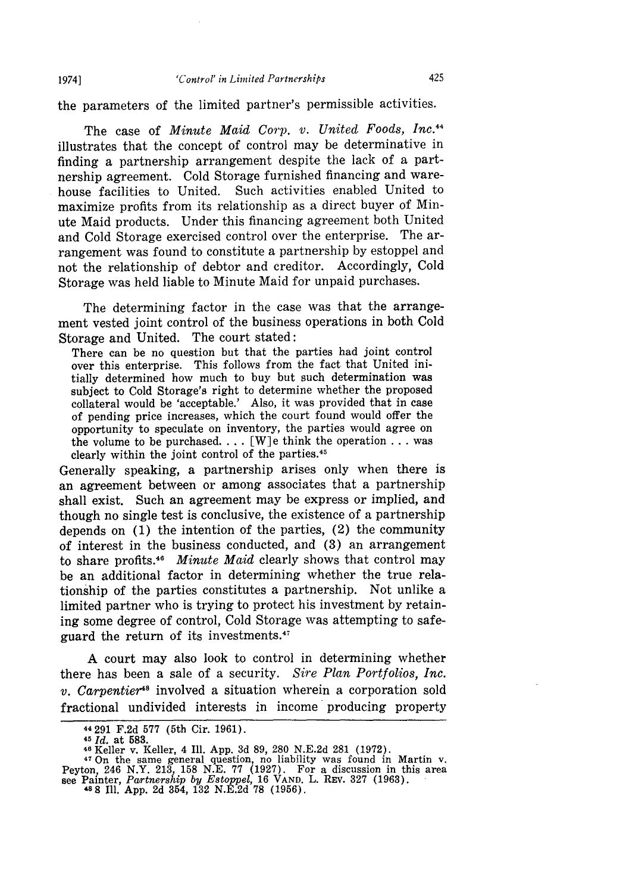the parameters of the limited partner's permissible activities.

The case of *Minute Maid Corp. v. United Foods, Inc.*<sup>44</sup> illustrates that the concept of control may be determinative in finding a partnership arrangement despite the lack of a partnership agreement. Cold Storage furnished financing and ware-<br>house facilities to United. Such activities enabled United to Such activities enabled United to maximize profits from its relationship as a direct buyer of Minute Maid products. Under this financing agreement both United and Cold Storage exercised control over the enterprise. The arrangement was found to constitute a partnership by estoppel and not the relationship of debtor and creditor. Accordingly, Cold Storage was held liable to Minute Maid for unpaid purchases.

The determining factor in the case was that the arrangement vested joint control of the business operations in both Cold Storage and United. The court stated:

There can be no question but that the parties had joint control over this enterprise. This follows from the fact that United initially determined how much to buy but such determination was subject to Cold Storage's right to determine whether the proposed collateral would be 'acceptable.' Also, it was provided that in case of pending price increases, which the court found would offer the opportunity to speculate on inventory, the parties would agree on the volume to be purchased.... [W]e think the operation **...** was clearly within the joint control of the parties.45

Generally speaking, a partnership arises only when there is an agreement between or among associates that a partnership shall exist. Such an agreement may be express or implied, and though no single test is conclusive, the existence of a partnership depends on (1) the intention of the parties, (2) the community of interest in the business conducted, and (3) an arrangement to share profits.<sup>46</sup> Minute Maid clearly shows that control may be an additional factor in determining whether the true relationship of the parties constitutes a partnership. Not unlike a limited partner who is trying to protect his investment by retaining some degree of control, Cold Storage was attempting to safeguard the return of its investments.<sup>47</sup>

A court may also look to control in determining whether there has been a sale of a security. *Sire Plan Portfolios, Inc. v. Carpentier"* involved a situation wherein a corporation sold fractional undivided interests in income producing property

1974]

<sup>44 291</sup> F.2d **577** (5th Cir. 1961).

**<sup>45</sup>***Id.* at **583.**

**<sup>46</sup>**Keller v. Keller, 4 Ill. App. 3d 89, 280 N.E.2d 281 (1972).

<sup>47</sup> On the same general question, no liability was found in Martin v. Peyton, 246 N.Y. 213, 158 N.E. **77** (1927). For a discussion in this area see Painter, *Partnership by Estoppel,* 16 **VAND.** L. REv. 327 (1963). **488** Ill. App. 2d 354, 132 N.E.2d 78 (1956).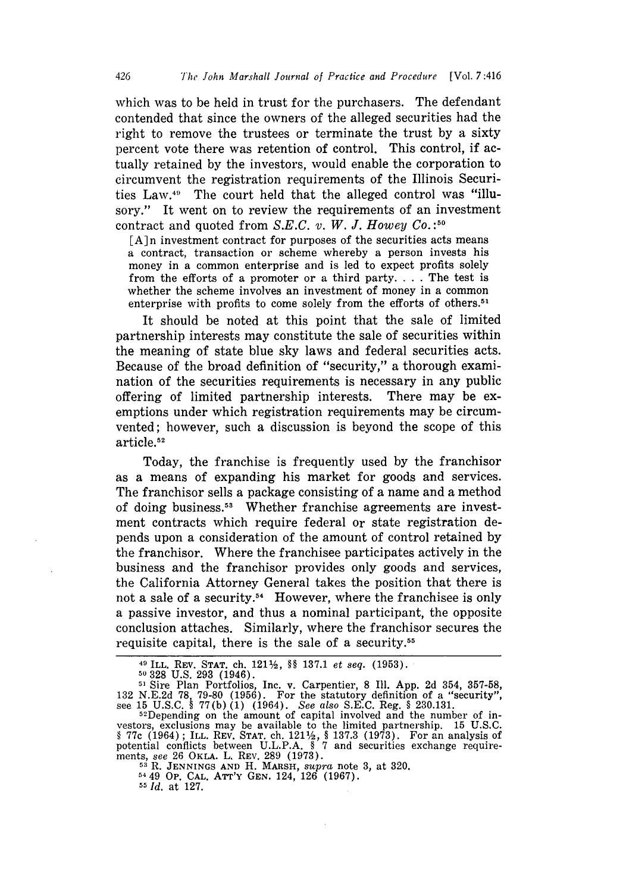which was to be held in trust for the purchasers. The defendant contended that since the owners of the alleged securities had the right to remove the trustees or terminate the trust by a sixty percent vote there was retention of control. This control, if actually retained by the investors, would enable the corporation to circumvent the registration requirements of the Illinois Securities Law. $49$  The court held that the alleged control was "illusory." It went on to review the requirements of an investment contract and quoted from *S.E.C. v. W. J. Howey Co.*:<sup>50</sup>

 $\lceil A \rceil$ n investment contract for purposes of the securities acts means a contract, transaction or scheme whereby a person invests his money in a common enterprise and is led to expect profits solely from the efforts of a promoter or a third party **....** The test is whether the scheme involves an investment of money in a common enterprise with profits to come solely from the efforts of others.<sup>51</sup>

It should be noted at this point that the sale of limited partnership interests may constitute the sale of securities within the meaning of state blue sky laws and federal securities acts. Because of the broad definition of "security," a thorough examination of the securities requirements is necessary in any public offering of limited partnership interests. There may be exemptions under which registration requirements may be circumvented; however, such a discussion is beyond the scope of this article.<sup>52</sup>

Today, the franchise is frequently used by the franchisor as a means of expanding his market for goods and services. The franchisor sells a package consisting of a name and a method of doing business.51 Whether franchise agreements are investment contracts which require federal or state registration depends upon a consideration of the amount of control retained by the franchisor. Where the franchisee participates actively in the business and the franchisor provides only goods and services, the California Attorney General takes the position that there is not a sale of a security.<sup>54</sup> However, where the franchisee is only a passive investor, and thus a nominal participant, the opposite conclusion attaches. Similarly, where the franchisor secures the requisite capital, there is the sale of a security.<sup>55</sup>

**55** *Id.* at 127.

**<sup>49</sup>**ILL. REV. **STAT.** ch. 1211/, §§ 137.1 *et seq.* **(1953). <sup>50328</sup>**U.S. 293 (1946).

**<sup>51</sup>** Sire Plan Portfolios, Inc. v. Carpentier, 8 Ill. App. 2d 354, 357-58, 132 N.E.2d 78, 79-80 (1956). For the statutory definition of a "security"<br>see 15 U.S.C. § 77(b) (1) (1964). See also S.E.C. Reg. § 230.131.<br><sup>52</sup>Depending on the amount of capital involved and the number of in-

vestors, exclusions may be available to the limited partnership. 15 U.S.C. § **77c** (1964) **;** ILL. REV. STAT. ch. 121%, § 137.3 (1973). For an analysis of potential conflicts between U.L.P.A. § **7** and securities exchange requirements, *see* 26 OKLA. L. REV. 289 (1973). **<sup>53</sup>**. **JENNINGS AND H.** MARSH, *supra* note *3,* at 320. <sup>54</sup>49 **Op. CAL.** ATT'Y GEN. 124, 126 (1967).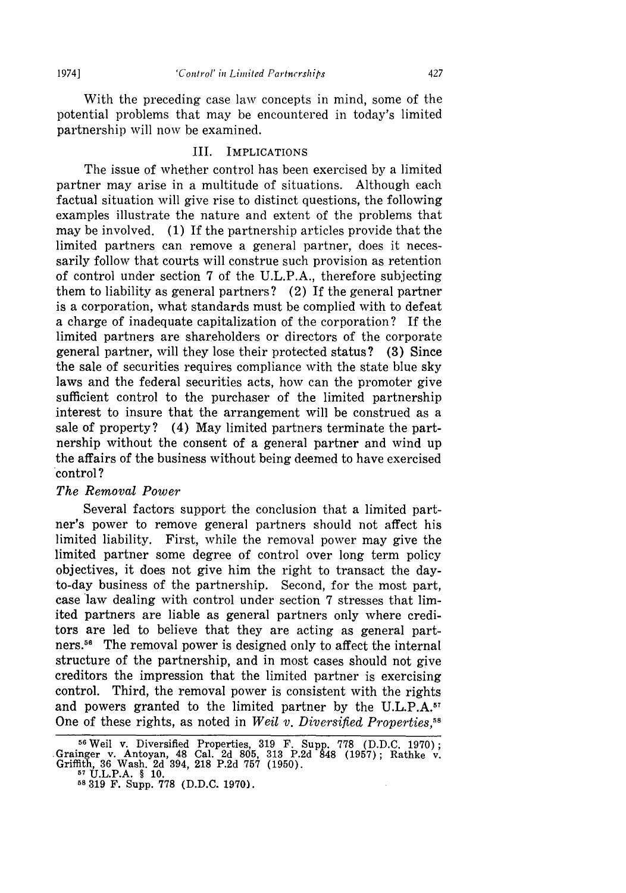With the preceding case law concepts in mind, some of the potential problems that may be encountered in today's limited partnership will now be examined.

#### III. IMPLICATIONS

The issue of whether control has been exercised by a limited partner may arise in a multitude of situations. Although each factual situation will give rise to distinct questions, the following examples illustrate the nature and extent of the problems that may be involved. (1) If the partnership articles provide that the limited partners can remove a general partner, does it necessarily follow that courts will construe such provision as retention of control under section 7 of the U.L.P.A., therefore subjecting them to liability as general partners? (2) If the general partner is a corporation, what standards must be complied with to defeat a charge of inadequate capitalization of the corporation? If the limited partners are shareholders or directors of the corporate general partner, will they lose their protected status? (3) Since the sale of securities requires compliance with the state blue sky laws and the federal securities acts, how can the promoter give sufficient control to the purchaser of the limited partnership interest to insure that the arrangement will be construed as a sale of property? (4) May limited partners terminate the partnership without the consent of a general partner and wind up the affairs of the business without being deemed to have exercised control?

#### *The Removal Power*

Several factors support the conclusion that a limited partner's power to remove general partners should not affect his limited liability. First, while the removal power may give the limited partner some degree of control over long term policy objectives, it does not give him the right to transact the dayto-day business of the partnership. Second, for the most part, case law dealing with control under section 7 stresses that limited partners are liable as general partners only where creditors are led to believe that they are acting as general partners.<sup>56</sup> The removal power is designed only to affect the internal structure of the partnership, and in most cases should not give creditors the impression that the limited partner is exercising control. Third, the removal power is consistent with the rights and powers granted to the limited partner by the U.L.P.A.<sup>57</sup> One of these rights, as noted in *Weil v. Diversified Properties,"8*

<sup>&</sup>lt;sup>56</sup> Weil v. Diversified Properties, 319 F. Supp. 778 (D.D.C. 1970). .Grainger v. Antoyan, 48 Cal. 2d 805, 313 P.2d 848 (1957); Rathke v. Griffith, 36 Wash. 2d 394, 218 P.2d 757 (1950). **<sup>5</sup>**U.L.P.A. § 10. **<sup>58</sup>**319 F. Supp. **778** (D.D.C. 1970).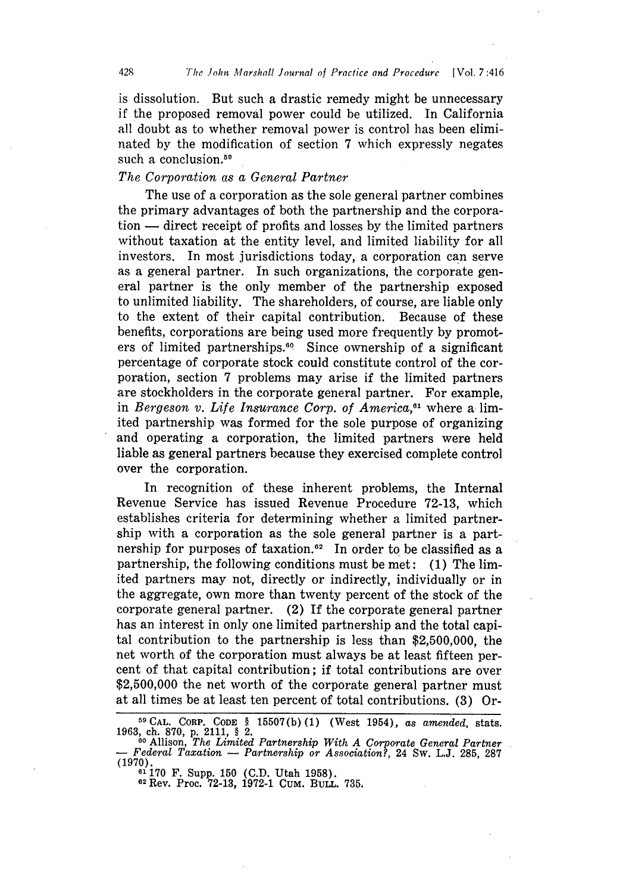is dissolution. But such a drastic remedy might be unnecessary if the proposed removal power could be utilized. In California all doubt as to whether removal power is control has been eliminated by the modification of section **7** which expressly negates such a conclusion.<sup>59</sup>

#### *The Corporation as a General Partner*

The use of a corporation as the sole general partner combines the primary advantages of both the partnership and the corpora $t$ tion  $-$  direct receipt of profits and losses by the limited partners without taxation at the entity level, and limited liability for all investors. In most jurisdictions today, a corporation can serve as a general partner. In such organizations, the corporate general partner is the only member of the partnership exposed to unlimited liability. The shareholders, of course, are liable only to the extent of their capital contribution. Because of these benefits, corporations are being used more frequently by promoters of limited partnerships.<sup>60</sup> Since ownership of a significant percentage of corporate stock could constitute control of the corporation, section 7 problems may arise if the limited partners are stockholders in the corporate general partner. For example, in *Bergeson v. Life Insurance Corp. of America,61* where a limited partnership was formed for the sole purpose of organizing and operating a corporation, the limited partners were held liable as general partners because they exercised complete control over the corporation.

In recognition of these inherent problems, the Internal Revenue Service has issued Revenue Procedure 72-13, which establishes criteria for determining whether a limited partnership with a corporation as the sole general partner is a partnership for purposes of taxation.<sup>62</sup> In order to be classified as a partnership, the following conditions must be met: (1) The limited partners may not, directly or indirectly, individually or in the aggregate, own more than twenty percent of the stock of the corporate general partner. (2) If the corporate general partner has an interest in only one limited partnership and the total capital contribution to the partnership is less than \$2,500,000, the net worth of the corporation must always be at least fifteen percent of that capital contribution; if total contributions are over \$2,500,000 the net worth of the corporate general partner must at all times be at least ten percent of total contributions. (3) Or-

**<sup>9</sup> CAL.** CORP. CODE § 15507(b) **(1)** (West 1954), *as amended,* stats. 1963, ch. 870, p. 2111, § 2.

**<sup>60</sup>**Allison, *The Limited Partnership With A Corporate General Partner* - *Federal Taxation* - *Partnership or Association?,* 24 Sw. L.J. 285, 287 (1970). **<sup>61170</sup>**F. Supp. 150 (C.D. Utah 1958).

**<sup>62</sup>** Rev. Proc. 72-13, 1972-1 CUM. BuLL. 735.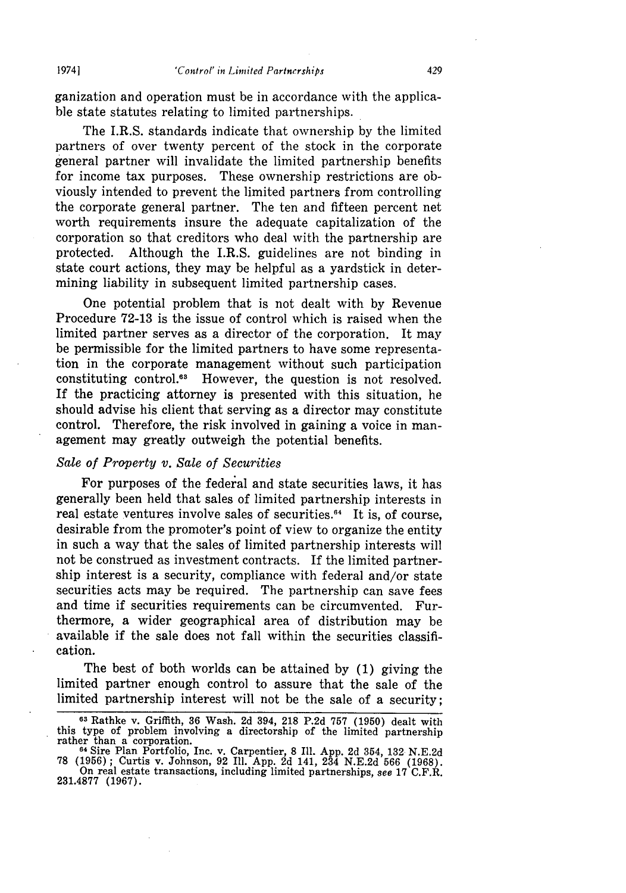ganization and operation must be in accordance with the applicable state statutes relating to limited partnerships.

The I.R.S. standards indicate that ownership **by** the limited partners of over twenty percent of the stock in the corporate general partner will invalidate the limited partnership benefits for income tax purposes. These ownership restrictions are obviously intended to prevent the limited partners from controlling the corporate general partner. The ten and fifteen percent net worth requirements insure the adequate capitalization of the corporation so that creditors who deal with the partnership are protected. Although the I.R.S. guidelines are not binding in state court actions, they may be helpful as a yardstick in determining liability in subsequent limited partnership cases.

One potential problem that is not dealt with **by** Revenue Procedure 72-13 is the issue of control which is raised when the limited partner serves as a director of the corporation. It may be permissible for the limited partners to have some representation in the corporate management without such participation constituting control."3 However, the question is not resolved. If the practicing attorney is presented with this situation, he should advise his client that serving as a director may constitute control. Therefore, the risk involved in gaining a voice in management may greatly outweigh the potential benefits.

#### *Sale of Property v. Sale of Securities*

For purposes of the federal and state securities laws, it has generally been held that sales of limited partnership interests in real estate ventures involve sales of securities.<sup>64</sup> It is, of course, desirable from the promoter's point of view to organize the entity in such a way that the sales of limited partnership interests will not be construed as investment contracts. If the limited partnership interest is a security, compliance with federal and/or state securities acts may be required. The partnership can save fees and time if securities requirements can be circumvented. Furthermore, a wider geographical area of distribution may be available if the sale does not fall within the securities classification.

The best of both worlds can be attained by (1) giving the limited partner enough control to assure that the sale of the limited partnership interest will not be the sale of a security;

<sup>&</sup>lt;sup>63</sup> Rathke v. Griffith, 36 Wash. 2d 394, 218 P.2d 757 (1950) dealt with this type of problem involving a directorship of the limited partnership this type of problem involving a directorship of the limited partnership rather than a corporation.

**<sup>64</sup>**Sire Plan Portfolio, Inc. v. Carpentier, 8 Ill. App. 2d 354, 132 N.E.2d 78 (1956); Curtis v. Johnson, 92 Ill. App. 2d 141, 234 N.E.2d 566 (1968). On real estate transactions, including limited partnerships, *see* 17 C.F.R.

<sup>231.4877 (1967).</sup>